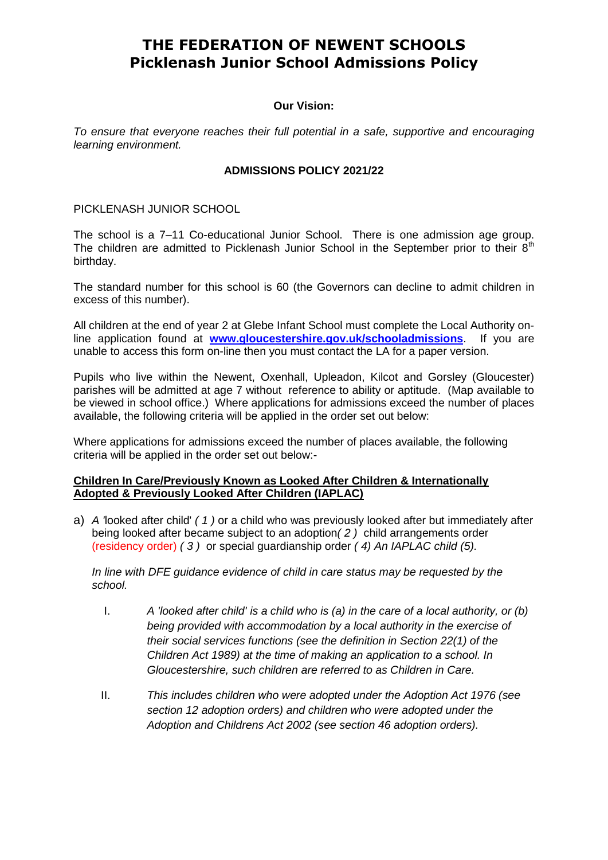## **THE FEDERATION OF NEWENT SCHOOLS Picklenash Junior School Admissions Policy**

### **Our Vision:**

*To ensure that everyone reaches their full potential in a safe, supportive and encouraging learning environment.*

### **ADMISSIONS POLICY 2021/22**

PICKLENASH JUNIOR SCHOOL

The school is a 7–11 Co-educational Junior School. There is one admission age group. The children are admitted to Picklenash Junior School in the September prior to their  $8<sup>th</sup>$ birthday.

The standard number for this school is 60 (the Governors can decline to admit children in excess of this number).

All children at the end of year 2 at Glebe Infant School must complete the Local Authority online application found at **[www.gloucestershire.gov.uk/schooladmissions](http://www.gloucestershire.gov.uk/schooladmissions)**. If you are unable to access this form on-line then you must contact the LA for a paper version.

Pupils who live within the Newent, Oxenhall, Upleadon, Kilcot and Gorsley (Gloucester) parishes will be admitted at age 7 without reference to ability or aptitude. (Map available to be viewed in school office.) Where applications for admissions exceed the number of places available, the following criteria will be applied in the order set out below:

Where applications for admissions exceed the number of places available, the following criteria will be applied in the order set out below:-

### **Children In Care/Previously Known as Looked After Children & Internationally Adopted & Previously Looked After Children (IAPLAC)**

a) *A '*looked after child' *( 1 )* or a child who was previously looked after but immediately after being looked after became subject to an adoption*( 2 )* child arrangements order (residency order) *( 3 )* or special guardianship order *( 4) An IAPLAC child (5).*

*In line with DFE guidance evidence of child in care status may be requested by the school.*

- I. *A 'looked after child' is a child who is (a) in the care of a local authority, or (b) being provided with accommodation by a local authority in the exercise of their social services functions (see the definition in Section 22(1) of the Children Act 1989) at the time of making an application to a school. In Gloucestershire, such children are referred to as Children in Care.*
- II. *This includes children who were adopted under the Adoption Act 1976 (see section 12 adoption orders) and children who were adopted under the Adoption and Childrens Act 2002 (see section 46 adoption orders).*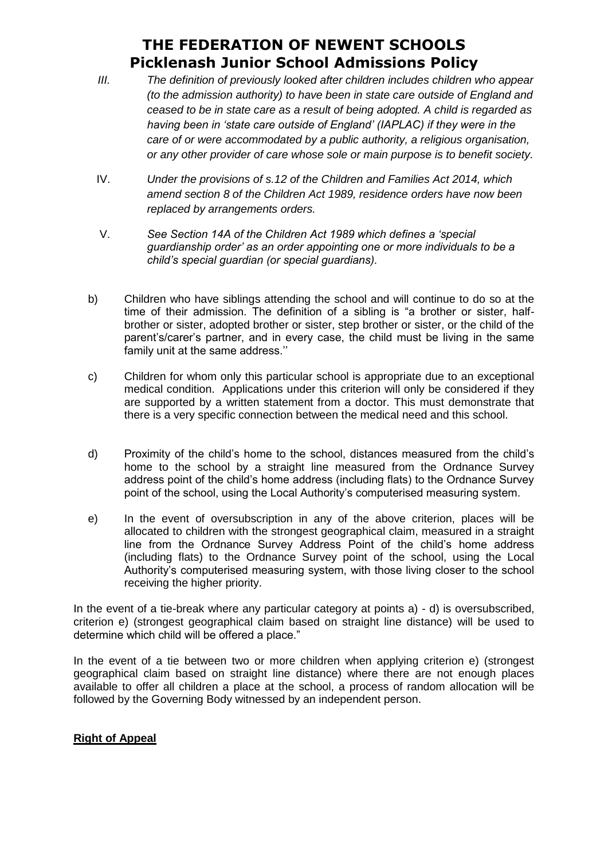# **THE FEDERATION OF NEWENT SCHOOLS Picklenash Junior School Admissions Policy**

- *III. The definition of previously looked after children includes children who appear (to the admission authority) to have been in state care outside of England and ceased to be in state care as a result of being adopted. A child is regarded as having been in 'state care outside of England' (IAPLAC) if they were in the care of or were accommodated by a public authority, a religious organisation, or any other provider of care whose sole or main purpose is to benefit society.*
- IV. *Under the provisions of s.12 of the Children and Families Act 2014, which amend section 8 of the Children Act 1989, residence orders have now been replaced by arrangements orders.*
- V. *See Section 14A of the Children Act 1989 which defines a 'special guardianship order' as an order appointing one or more individuals to be a child's special guardian (or special guardians).*
- b) Children who have siblings attending the school and will continue to do so at the time of their admission. The definition of a sibling is "a brother or sister, halfbrother or sister, adopted brother or sister, step brother or sister, or the child of the parent's/carer's partner, and in every case, the child must be living in the same family unit at the same address.''
- c) Children for whom only this particular school is appropriate due to an exceptional medical condition. Applications under this criterion will only be considered if they are supported by a written statement from a doctor. This must demonstrate that there is a very specific connection between the medical need and this school.
- d) Proximity of the child's home to the school, distances measured from the child's home to the school by a straight line measured from the Ordnance Survey address point of the child's home address (including flats) to the Ordnance Survey point of the school, using the Local Authority's computerised measuring system.
- e) In the event of oversubscription in any of the above criterion, places will be allocated to children with the strongest geographical claim, measured in a straight line from the Ordnance Survey Address Point of the child's home address (including flats) to the Ordnance Survey point of the school, using the Local Authority's computerised measuring system, with those living closer to the school receiving the higher priority.

In the event of a tie-break where any particular category at points a) - d) is oversubscribed, criterion e) (strongest geographical claim based on straight line distance) will be used to determine which child will be offered a place."

In the event of a tie between two or more children when applying criterion e) (strongest geographical claim based on straight line distance) where there are not enough places available to offer all children a place at the school, a process of random allocation will be followed by the Governing Body witnessed by an independent person.

### **Right of Appeal**